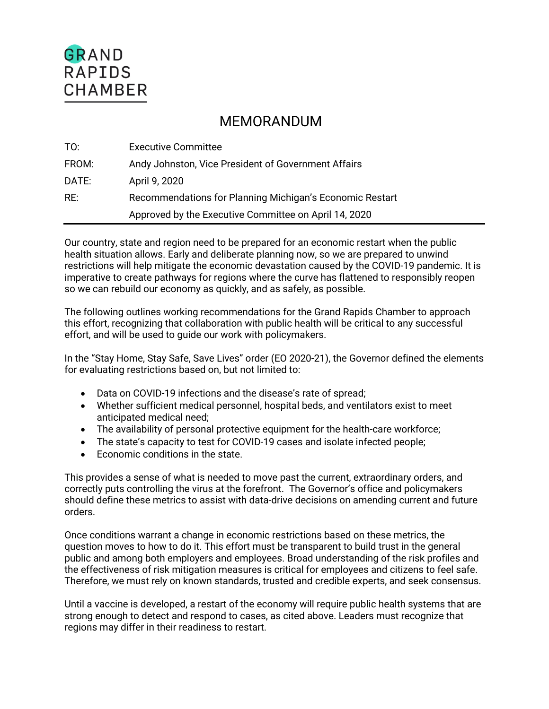# GRAND **RAPIDS CHAMBER**

## MEMORANDUM

| TO:   | <b>Executive Committee</b>                               |
|-------|----------------------------------------------------------|
| FROM: | Andy Johnston, Vice President of Government Affairs      |
| DATE: | April 9, 2020                                            |
| RE:   | Recommendations for Planning Michigan's Economic Restart |
|       | Approved by the Executive Committee on April 14, 2020    |

Our country, state and region need to be prepared for an economic restart when the public health situation allows. Early and deliberate planning now, so we are prepared to unwind restrictions will help mitigate the economic devastation caused by the COVID-19 pandemic. It is imperative to create pathways for regions where the curve has flattened to responsibly reopen so we can rebuild our economy as quickly, and as safely, as possible.

The following outlines working recommendations for the Grand Rapids Chamber to approach this effort, recognizing that collaboration with public health will be critical to any successful effort, and will be used to guide our work with policymakers.

In the "Stay Home, Stay Safe, Save Lives" order (EO 2020-21), the Governor defined the elements for evaluating restrictions based on, but not limited to:

- Data on COVID-19 infections and the disease's rate of spread;
- Whether sufficient medical personnel, hospital beds, and ventilators exist to meet anticipated medical need;
- The availability of personal protective equipment for the health-care workforce;
- The state's capacity to test for COVID-19 cases and isolate infected people;
- Economic conditions in the state.

This provides a sense of what is needed to move past the current, extraordinary orders, and correctly puts controlling the virus at the forefront. The Governor's office and policymakers should define these metrics to assist with data-drive decisions on amending current and future orders.

Once conditions warrant a change in economic restrictions based on these metrics, the question moves to how to do it. This effort must be transparent to build trust in the general public and among both employers and employees. Broad understanding of the risk profiles and the effectiveness of risk mitigation measures is critical for employees and citizens to feel safe. Therefore, we must rely on known standards, trusted and credible experts, and seek consensus.

Until a vaccine is developed, a restart of the economy will require public health systems that are strong enough to detect and respond to cases, as cited above. Leaders must recognize that regions may differ in their readiness to restart.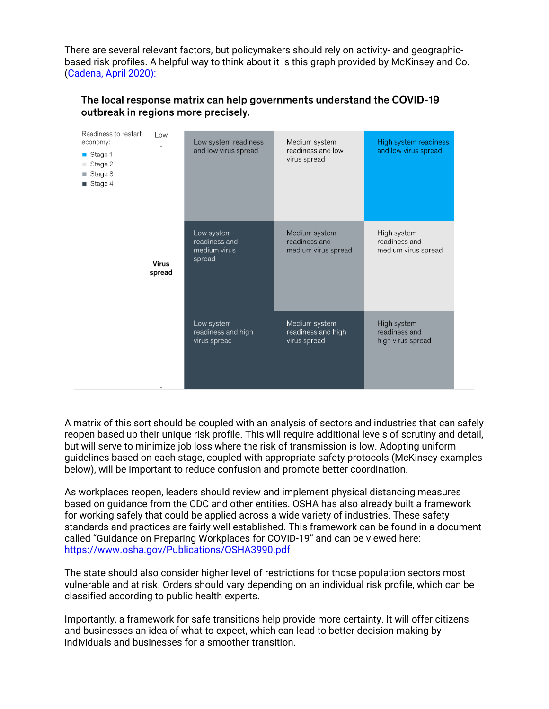There are several relevant factors, but policymakers should rely on activity- and geographicbased risk profiles. A helpful way to think about it is this graph provided by McKinsey and Co. (Cadena, April 2020):

| Readiness to restart<br>economy:<br>$\blacksquare$ Stage 1<br>Stage 2<br>Stage 3<br>ш<br>$\blacksquare$ Stage 4 | Low                    | Low system readiness<br>and low virus spread          | Medium system<br>readiness and low<br>virus spread    | High system readiness<br>and low virus spread       |
|-----------------------------------------------------------------------------------------------------------------|------------------------|-------------------------------------------------------|-------------------------------------------------------|-----------------------------------------------------|
|                                                                                                                 | <b>Virus</b><br>spread | Low system<br>readiness and<br>medium virus<br>spread | Medium system<br>readiness and<br>medium virus spread | High system<br>readiness and<br>medium virus spread |
|                                                                                                                 |                        | Low system<br>readiness and high<br>virus spread      | Medium system<br>readiness and high<br>virus spread   | High system<br>readiness and<br>high virus spread   |

## The local response matrix can help governments understand the COVID-19 outbreak in regions more precisely.

A matrix of this sort should be coupled with an analysis of sectors and industries that can safely reopen based up their unique risk profile. This will require additional levels of scrutiny and detail, but will serve to minimize job loss where the risk of transmission is low. Adopting uniform guidelines based on each stage, coupled with appropriate safety protocols (McKinsey examples below), will be important to reduce confusion and promote better coordination.

As workplaces reopen, leaders should review and implement physical distancing measures based on guidance from the CDC and other entities. OSHA has also already built a framework for working safely that could be applied across a wide variety of industries. These safety standards and practices are fairly well established. This framework can be found in a document called "Guidance on Preparing Workplaces for COVID-19" and can be viewed here: https://www.osha.gov/Publications/OSHA3990.pdf

The state should also consider higher level of restrictions for those population sectors most vulnerable and at risk. Orders should vary depending on an individual risk profile, which can be classified according to public health experts.

Importantly, a framework for safe transitions help provide more certainty. It will offer citizens and businesses an idea of what to expect, which can lead to better decision making by individuals and businesses for a smoother transition.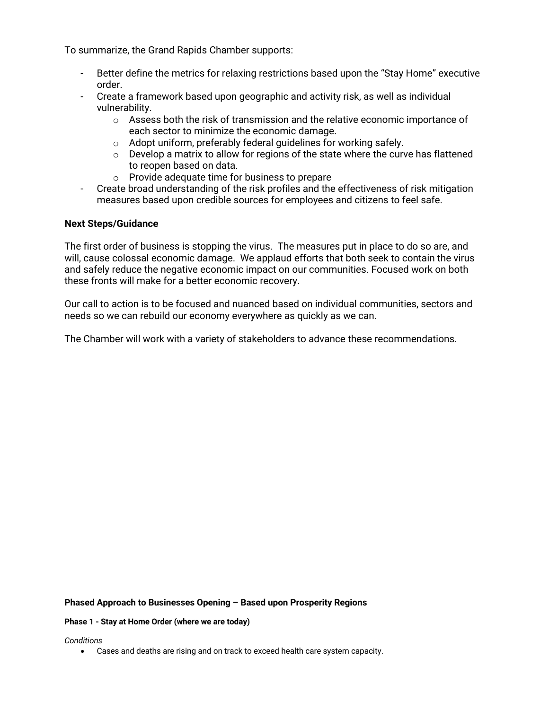To summarize, the Grand Rapids Chamber supports:

- Better define the metrics for relaxing restrictions based upon the "Stay Home" executive order.
- Create a framework based upon geographic and activity risk, as well as individual vulnerability.
	- $\circ$  Assess both the risk of transmission and the relative economic importance of each sector to minimize the economic damage.
	- o Adopt uniform, preferably federal guidelines for working safely.
	- $\circ$  Develop a matrix to allow for regions of the state where the curve has flattened to reopen based on data.
	- o Provide adequate time for business to prepare
- Create broad understanding of the risk profiles and the effectiveness of risk mitigation measures based upon credible sources for employees and citizens to feel safe.

## **Next Steps/Guidance**

The first order of business is stopping the virus. The measures put in place to do so are, and will, cause colossal economic damage. We applaud efforts that both seek to contain the virus and safely reduce the negative economic impact on our communities. Focused work on both these fronts will make for a better economic recovery.

Our call to action is to be focused and nuanced based on individual communities, sectors and needs so we can rebuild our economy everywhere as quickly as we can.

The Chamber will work with a variety of stakeholders to advance these recommendations.

## **Phased Approach to Businesses Opening – Based upon Prosperity Regions**

## **Phase 1 - Stay at Home Order (where we are today)**

*Conditions*

• Cases and deaths are rising and on track to exceed health care system capacity.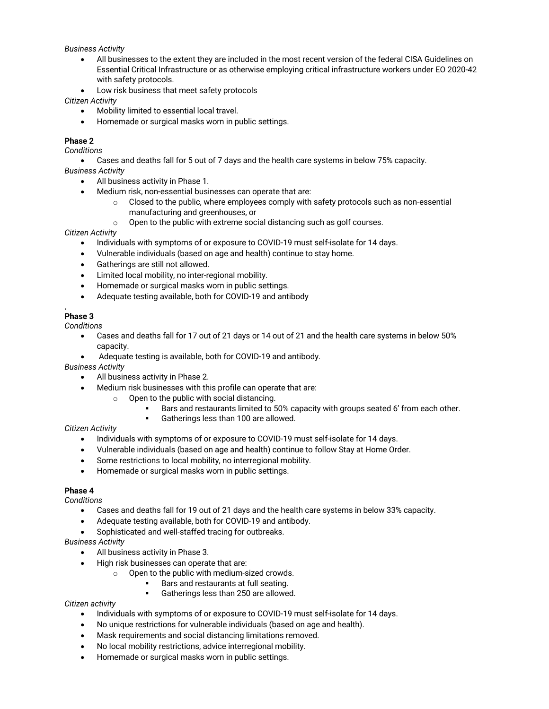## *Business Activity*

- All businesses to the extent they are included in the most recent version of the federal CISA Guidelines on Essential Critical Infrastructure or as otherwise employing critical infrastructure workers under EO 2020-42 with safety protocols.
- Low risk business that meet safety protocols

*Citizen Activity*

- Mobility limited to essential local travel.
- Homemade or surgical masks worn in public settings.

## **Phase 2**

*Conditions*

• Cases and deaths fall for 5 out of 7 days and the health care systems in below 75% capacity.

*Business Activity*

- All business activity in Phase 1.
- Medium risk, non-essential businesses can operate that are:
	- $\circ$  Closed to the public, where employees comply with safety protocols such as non-essential manufacturing and greenhouses, or
	- o Open to the public with extreme social distancing such as golf courses.

*Citizen Activity*

- Individuals with symptoms of or exposure to COVID-19 must self-isolate for 14 days.
- Vulnerable individuals (based on age and health) continue to stay home.
- Gatherings are still not allowed.
- Limited local mobility, no inter-regional mobility.
- Homemade or surgical masks worn in public settings.
- Adequate testing available, both for COVID-19 and antibody

#### **. Phase 3**

*Conditions*

- Cases and deaths fall for 17 out of 21 days or 14 out of 21 and the health care systems in below 50% capacity.
- Adequate testing is available, both for COVID-19 and antibody.

*Business Activity*

- All business activity in Phase 2.
- Medium risk businesses with this profile can operate that are:
	- o Open to the public with social distancing.
		- Bars and restaurants limited to 50% capacity with groups seated 6' from each other.
		- § Gatherings less than 100 are allowed.

*Citizen Activity*

- Individuals with symptoms of or exposure to COVID-19 must self-isolate for 14 days.
- Vulnerable individuals (based on age and health) continue to follow Stay at Home Order.
- Some restrictions to local mobility, no interregional mobility.
- Homemade or surgical masks worn in public settings.

## **Phase 4**

*Conditions*

- Cases and deaths fall for 19 out of 21 days and the health care systems in below 33% capacity.
- Adequate testing available, both for COVID-19 and antibody.
- Sophisticated and well-staffed tracing for outbreaks.

*Business Activity*

- All business activity in Phase 3.
- High risk businesses can operate that are:
	- o Open to the public with medium-sized crowds.
		- Bars and restaurants at full seating.
		- § Gatherings less than 250 are allowed.

*Citizen activity*

- Individuals with symptoms of or exposure to COVID-19 must self-isolate for 14 days.
- No unique restrictions for vulnerable individuals (based on age and health).
- Mask requirements and social distancing limitations removed.
- No local mobility restrictions, advice interregional mobility.
- Homemade or surgical masks worn in public settings.